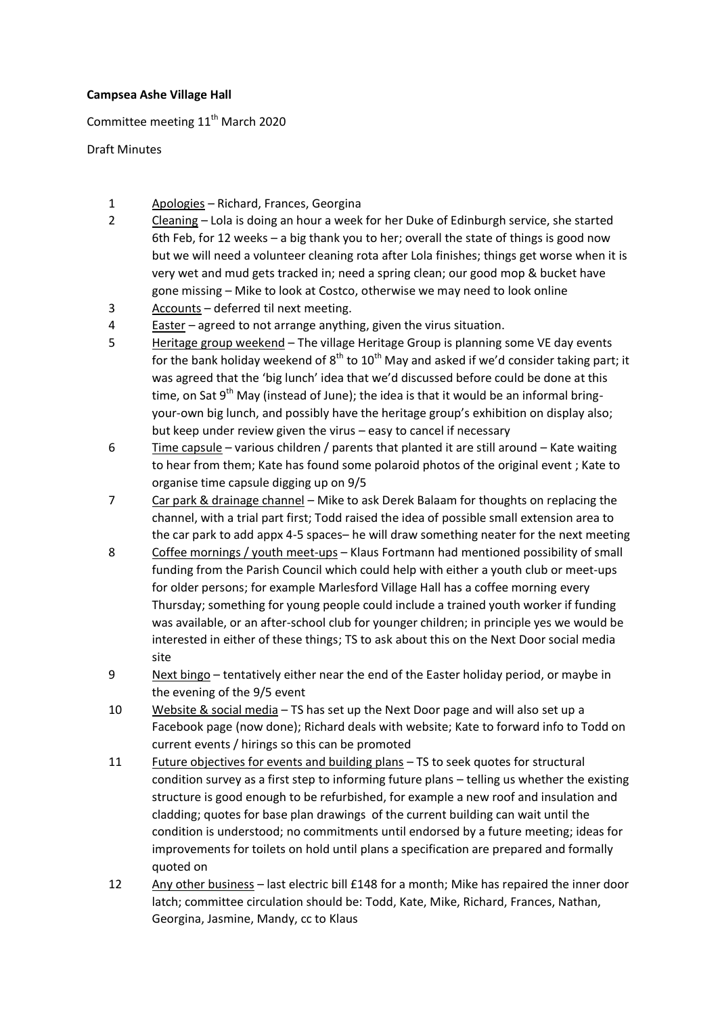## **Campsea Ashe Village Hall**

Committee meeting 11<sup>th</sup> March 2020

Draft Minutes

- 1 Apologies Richard, Frances, Georgina
- 2 Cleaning Lola is doing an hour a week for her Duke of Edinburgh service, she started 6th Feb, for 12 weeks – a big thank you to her; overall the state of things is good now but we will need a volunteer cleaning rota after Lola finishes; things get worse when it is very wet and mud gets tracked in; need a spring clean; our good mop & bucket have gone missing – Mike to look at Costco, otherwise we may need to look online
- 3 Accounts deferred til next meeting.
- 4 Easter agreed to not arrange anything, given the virus situation.
- 5 Heritage group weekend The village Heritage Group is planning some VE day events for the bank holiday weekend of  $8^{th}$  to  $10^{th}$  May and asked if we'd consider taking part; it was agreed that the 'big lunch' idea that we'd discussed before could be done at this time, on Sat 9<sup>th</sup> May (instead of June); the idea is that it would be an informal bringyour-own big lunch, and possibly have the heritage group's exhibition on display also; but keep under review given the virus – easy to cancel if necessary
- 6 Time capsule various children / parents that planted it are still around Kate waiting to hear from them; Kate has found some polaroid photos of the original event ; Kate to organise time capsule digging up on 9/5
- 7 Car park & drainage channel Mike to ask Derek Balaam for thoughts on replacing the channel, with a trial part first; Todd raised the idea of possible small extension area to the car park to add appx 4-5 spaces– he will draw something neater for the next meeting
- 8 Coffee mornings / youth meet-ups Klaus Fortmann had mentioned possibility of small funding from the Parish Council which could help with either a youth club or meet-ups for older persons; for example Marlesford Village Hall has a coffee morning every Thursday; something for young people could include a trained youth worker if funding was available, or an after-school club for younger children; in principle yes we would be interested in either of these things; TS to ask about this on the Next Door social media site
- 9 Next bingo tentatively either near the end of the Easter holiday period, or maybe in the evening of the 9/5 event
- 10 Website & social media TS has set up the Next Door page and will also set up a Facebook page (now done); Richard deals with website; Kate to forward info to Todd on current events / hirings so this can be promoted
- 11 Future objectives for events and building plans TS to seek quotes for structural condition survey as a first step to informing future plans – telling us whether the existing structure is good enough to be refurbished, for example a new roof and insulation and cladding; quotes for base plan drawings of the current building can wait until the condition is understood; no commitments until endorsed by a future meeting; ideas for improvements for toilets on hold until plans a specification are prepared and formally quoted on
- 12 Any other business last electric bill £148 for a month; Mike has repaired the inner door latch; committee circulation should be: Todd, Kate, Mike, Richard, Frances, Nathan, Georgina, Jasmine, Mandy, cc to Klaus